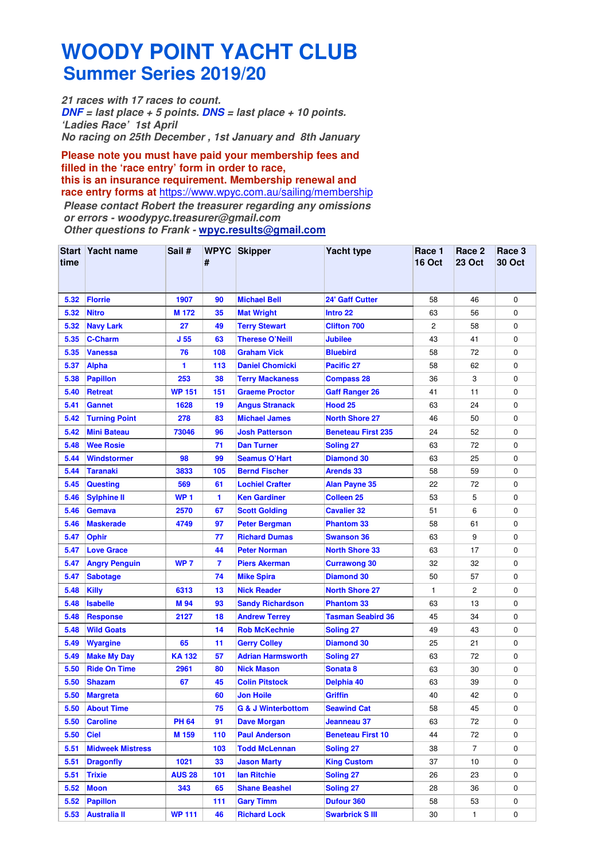## **WOODY POINT YACHT CLUB Summer Series 2019/20**

**21 races with 17 races to count. DNF = last place + 5 points. DNS = last place + 10 points. 'Ladies Race' 1st April No racing on 25th December , 1st January and 8th January**

**Please note you must have paid your membership fees and filled in the 'race entry' form in order to race, this is an insurance requirement. Membership renewal and race entry forms at** https://www.wpyc.com.au/sailing/membership **Please contact Robert the treasurer regarding any omissions or errors - woodypyc.treasurer@gmail.com** 

**Other questions to Frank - wpyc.results@gmail.com**

| time | Start Yacht name        | Sail #          | #                       | <b>WPYC</b> Skipper           | <b>Yacht type</b>         | Race 1<br><b>16 Oct</b> | Race 2<br><b>23 Oct</b> | Race 3<br><b>30 Oct</b> |
|------|-------------------------|-----------------|-------------------------|-------------------------------|---------------------------|-------------------------|-------------------------|-------------------------|
| 5.32 | <b>Florrie</b>          | 1907            | 90                      | <b>Michael Bell</b>           | <b>24' Gaff Cutter</b>    | 58                      | 46                      | 0                       |
| 5.32 | <b>Nitro</b>            | M 172           | 35                      | <b>Mat Wright</b>             | Intro 22                  | 63                      | 56                      | 0                       |
| 5.32 | <b>Navy Lark</b>        | 27              | 49                      | <b>Terry Stewart</b>          | <b>Clifton 700</b>        | 2                       | 58                      | 0                       |
| 5.35 | <b>C-Charm</b>          | J <sub>55</sub> | 63                      | <b>Therese O'Neill</b>        | Jubilee                   | 43                      | 41                      | 0                       |
| 5.35 | <b>Vanessa</b>          | 76              | 108                     | <b>Graham Vick</b>            | <b>Bluebird</b>           | 58                      | 72                      | 0                       |
| 5.37 | <b>Alpha</b>            | 1               | 113                     | <b>Daniel Chomicki</b>        | Pacific 27                | 58                      | 62                      | 0                       |
| 5.38 | <b>Papillon</b>         | 253             | 38                      | <b>Terry Mackaness</b>        | <b>Compass 28</b>         | 36                      | 3                       | 0                       |
| 5.40 | <b>Retreat</b>          | <b>WP 151</b>   | 151                     | <b>Graeme Proctor</b>         | <b>Gaff Ranger 26</b>     | 41                      | 11                      | 0                       |
| 5.41 | <b>Gannet</b>           | 1628            | 19                      | <b>Angus Stranack</b>         | <b>Hood 25</b>            | 63                      | 24                      | 0                       |
| 5.42 | <b>Turning Point</b>    | 278             | 83                      | <b>Michael James</b>          | <b>North Shore 27</b>     | 46                      | 50                      | 0                       |
| 5.42 | <b>Mini Bateau</b>      | 73046           | 96                      | <b>Josh Patterson</b>         | <b>Beneteau First 235</b> | 24                      | 52                      | 0                       |
| 5.48 | <b>Wee Rosie</b>        |                 | 71                      | <b>Dan Turner</b>             | <b>Soling 27</b>          | 63                      | 72                      | 0                       |
| 5.44 | <b>Windstormer</b>      | 98              | 99                      | <b>Seamus O'Hart</b>          | <b>Diamond 30</b>         | 63                      | 25                      | 0                       |
| 5.44 | <b>Taranaki</b>         | 3833            | 105                     | <b>Bernd Fischer</b>          | <b>Arends 33</b>          | 58                      | 59                      | 0                       |
| 5.45 | Questing                | 569             | 61                      | <b>Lochiel Crafter</b>        | <b>Alan Payne 35</b>      | 22                      | 72                      | 0                       |
| 5.46 | <b>Sylphine II</b>      | <b>WP1</b>      | 1                       | <b>Ken Gardiner</b>           | <b>Colleen 25</b>         | 53                      | 5                       | 0                       |
| 5.46 | Gemava                  | 2570            | 67                      | <b>Scott Golding</b>          | <b>Cavalier 32</b>        | 51                      | 6                       | 0                       |
| 5.46 | <b>Maskerade</b>        | 4749            | 97                      | <b>Peter Bergman</b>          | <b>Phantom 33</b>         | 58                      | 61                      | 0                       |
| 5.47 | <b>Ophir</b>            |                 | 77                      | <b>Richard Dumas</b>          | <b>Swanson 36</b>         | 63                      | 9                       | 0                       |
| 5.47 | <b>Love Grace</b>       |                 | 44                      | <b>Peter Norman</b>           | <b>North Shore 33</b>     | 63                      | 17                      | 0                       |
| 5.47 | <b>Angry Penguin</b>    | WP <sub>7</sub> | $\overline{\mathbf{r}}$ | <b>Piers Akerman</b>          | <b>Currawong 30</b>       | 32                      | 32                      | 0                       |
| 5.47 | <b>Sabotage</b>         |                 | 74                      | <b>Mike Spira</b>             | <b>Diamond 30</b>         | 50                      | 57                      | 0                       |
| 5.48 | <b>Killy</b>            | 6313            | 13                      | <b>Nick Reader</b>            | <b>North Shore 27</b>     | 1                       | 2                       | 0                       |
| 5.48 | <b>Isabelle</b>         | M 94            | 93                      | <b>Sandy Richardson</b>       | <b>Phantom 33</b>         | 63                      | 13                      | 0                       |
| 5.48 | <b>Response</b>         | 2127            | 18                      | <b>Andrew Terrey</b>          | <b>Tasman Seabird 36</b>  | 45                      | 34                      | 0                       |
| 5.48 | <b>Wild Goats</b>       |                 | 14                      | <b>Rob McKechnie</b>          | Soling 27                 | 49                      | 43                      | 0                       |
| 5.49 | <b>Wyargine</b>         | 65              | 11                      | <b>Gerry Colley</b>           | <b>Diamond 30</b>         | 25                      | 21                      | 0                       |
| 5.49 | <b>Make My Day</b>      | <b>KA132</b>    | 57                      | <b>Adrian Harmsworth</b>      | <b>Soling 27</b>          | 63                      | 72                      | 0                       |
| 5.50 | <b>Ride On Time</b>     | 2961            | 80                      | <b>Nick Mason</b>             | Sonata 8                  | 63                      | 30                      | 0                       |
| 5.50 | <b>Shazam</b>           | 67              | 45                      | <b>Colin Pitstock</b>         | Delphia 40                | 63                      | 39                      | 0                       |
| 5.50 | <b>Margreta</b>         |                 | 60                      | Jon Hoile                     | <b>Griffin</b>            | 40                      | 42                      | 0                       |
| 5.50 | <b>About Time</b>       |                 | 75                      | <b>G &amp; J Winterbottom</b> | <b>Seawind Cat</b>        | 58                      | 45                      | 0                       |
| 5.50 | <b>Caroline</b>         | <b>PH 64</b>    | 91                      | <b>Dave Morgan</b>            | Jeanneau 37               | 63                      | 72                      | 0                       |
| 5.50 | <b>Ciel</b>             | M 159           | 110                     | <b>Paul Anderson</b>          | <b>Beneteau First 10</b>  | 44                      | 72                      | 0                       |
| 5.51 | <b>Midweek Mistress</b> |                 | 103                     | <b>Todd McLennan</b>          | <b>Soling 27</b>          | 38                      | 7                       | 0                       |
| 5.51 | <b>Dragonfly</b>        | 1021            | 33                      | <b>Jason Marty</b>            | <b>King Custom</b>        | 37                      | 10                      | 0                       |
| 5.51 | <b>Trixie</b>           | <b>AUS 28</b>   | 101                     | lan Ritchie                   | <b>Soling 27</b>          | 26                      | 23                      | 0                       |
| 5.52 | <b>Moon</b>             | 343             | 65                      | <b>Shane Beashel</b>          | <b>Soling 27</b>          | 28                      | 36                      | 0                       |
| 5.52 | <b>Papillon</b>         |                 | 111                     | <b>Gary Timm</b>              | Dufour 360                | 58                      | 53                      | 0                       |
| 5.53 | <b>Australia II</b>     | <b>WP 111</b>   | 46                      | <b>Richard Lock</b>           | <b>Swarbrick SIII</b>     | 30                      | 1                       | 0                       |